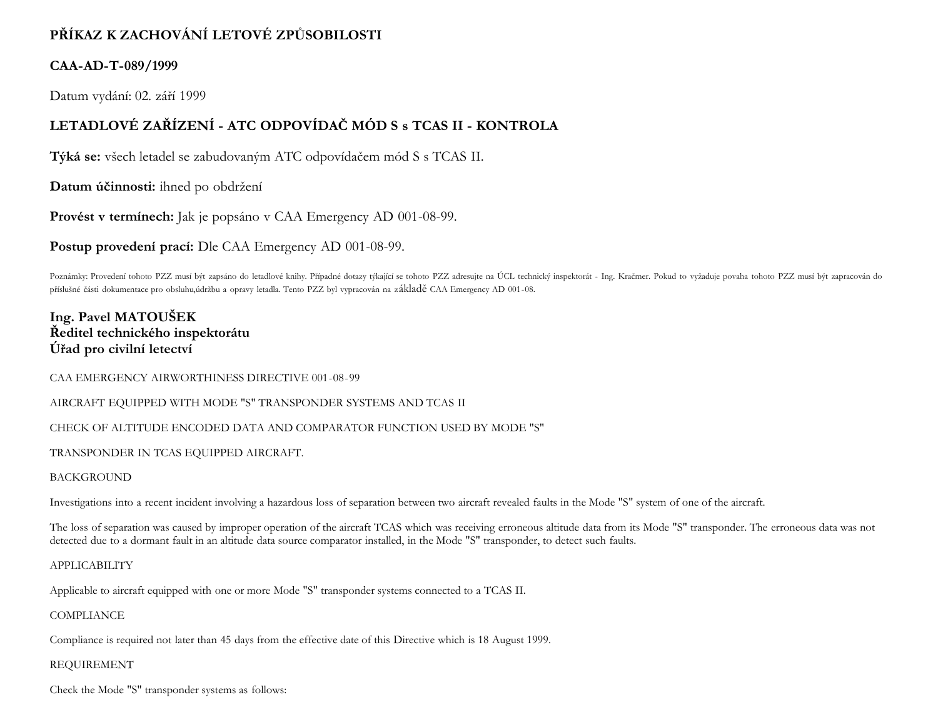# **PŘÍKAZ K ZACHOVÁNÍ LETOVÉ ZPŮSOBILOSTI**

## **CAA-AD-T-089/1999**

Datum vydání: 02. září 1999

## **LETADLOVÉ ZAŘÍZENÍ - ATC ODPOVÍDAČ MÓD S s TCAS II - KONTROLA**

**Týká se:** všech letadel se zabudovaným ATC odpovídačem mód S s TCAS II.

**Datum účinnosti:** ihned po obdržení

**Provést v termínech:** Jak je popsáno v CAA Emergency AD 001-08-99.

**Postup provedení prací:** Dle CAA Emergency AD 001-08-99.

Poznámky: Provedení tohoto PZZ musí být zapsáno do letadlové knihy. Případné dotazy týkající se tohoto PZZ adresujte na ÚCL technický inspektorát - Ing. Kračmer. Pokud to vyžaduje povaha tohoto PZZ musí být zapracován do příslušné části dokumentace pro obsluhu,údržbu a opravy letadla. Tento PZZ byl vypracován na základě CAA Emergency AD 001-08.

## **Ing. Pavel MATOUŠEK Ředitel technického inspektorátu Úřad pro civilní letectví**

CAA EMERGENCY AIRWORTHINESS DIRECTIVE 001-08-99

AIRCRAFT EQUIPPED WITH MODE "S" TRANSPONDER SYSTEMS AND TCAS II

CHECK OF ALTITUDE ENCODED DATA AND COMPARATOR FUNCTION USED BY MODE "S"

TRANSPONDER IN TCAS EQUIPPED AIRCRAFT.

#### BACKGROUND

Investigations into a recent incident involving a hazardous loss of separation between two aircraft revealed faults in the Mode "S" system of one of the aircraft.

The loss of separation was caused by improper operation of the aircraft TCAS which was receiving erroneous altitude data from its Mode "S" transponder. The erroneous data was not detected due to a dormant fault in an altitude data source comparator installed, in the Mode "S" transponder, to detect such faults.

#### APPLICABILITY

Applicable to aircraft equipped with one or more Mode "S" transponder systems connected to a TCAS II.

### **COMPLIANCE**

Compliance is required not later than 45 days from the effective date of this Directive which is 18 August 1999.

### REQUIREMENT

Check the Mode "S" transponder systems as follows: